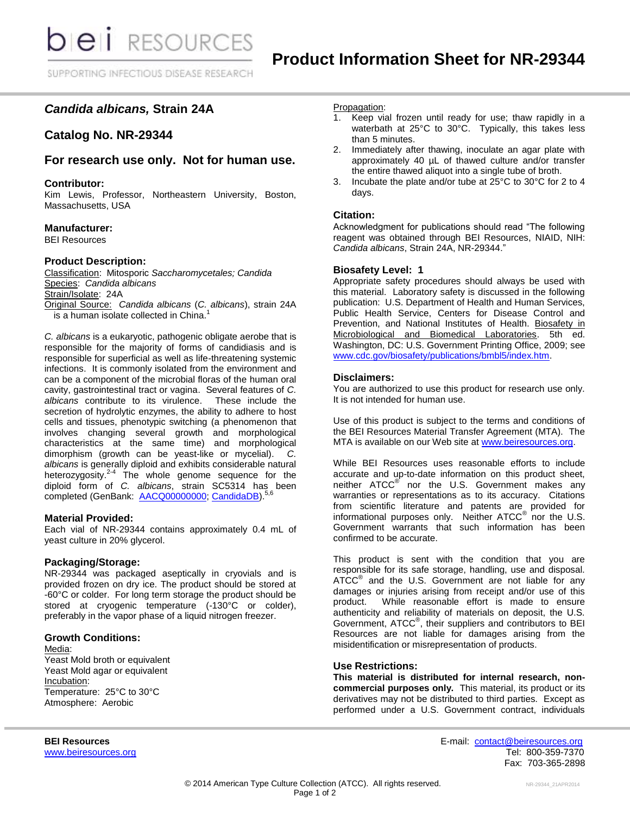# *Candida albicans,* **Strain 24A**

## **Catalog No. NR-29344**

## **For research use only. Not for human use.**

#### **Contributor:**

Kim Lewis, Professor, Northeastern University, Boston, Massachusetts, USA

## **Manufacturer:**

BEI Resources

## **Product Description:**

Classification: Mitosporic *Saccharomycetales; Candida* Species: *Candida albicans* Strain/Isolate: 24A Original Source: *Candida albicans* (*C. albicans*), strain 24A  $\frac{1}{2}$  a human isolate collected in China.<sup>1</sup>

*C. albicans* is a eukaryotic, pathogenic obligate aerobe that is responsible for the majority of forms of candidiasis and is responsible for superficial as well as life-threatening systemic infections. It is commonly isolated from the environment and can be a component of the microbial floras of the human oral cavity, gastrointestinal tract or vagina. Several features of *C. albicans* contribute to its virulence. These include the secretion of hydrolytic enzymes, the ability to adhere to host cells and tissues, phenotypic switching (a phenomenon that involves changing several growth and morphological characteristics at the same time) and morphological dimorphism (growth can be yeast-like or mycelial). *C. albicans* is generally diploid and exhibits considerable natural heterozygosity.<sup>2-4</sup> The whole genome sequence for the diploid form of *C. albicans*, strain SC5314 has been completed (GenBank: [AACQ00000000;](http://www.ncbi.nlm.nih.gov/nuccore/AACQ00000000) [CandidaDB\)](http://genolist.pasteur.fr/CandidaDB/).<sup>5,6</sup>

#### **Material Provided:**

Each vial of NR-29344 contains approximately 0.4 mL of yeast culture in 20% glycerol.

#### **Packaging/Storage:**

NR-29344 was packaged aseptically in cryovials and is provided frozen on dry ice. The product should be stored at -60°C or colder. For long term storage the product should be stored at cryogenic temperature (-130°C or colder), preferably in the vapor phase of a liquid nitrogen freezer.

#### **Growth Conditions:**

Media: Yeast Mold broth or equivalent Yeast Mold agar or equivalent Incubation: Temperature: 25°C to 30°C Atmosphere: Aerobic

#### Propagation:

- 1. Keep vial frozen until ready for use; thaw rapidly in a waterbath at 25°C to 30°C. Typically, this takes less than 5 minutes.
- 2. Immediately after thawing, inoculate an agar plate with approximately 40 µL of thawed culture and/or transfer the entire thawed aliquot into a single tube of broth.
- 3. Incubate the plate and/or tube at 25°C to 30°C for 2 to 4 days.

#### **Citation:**

Acknowledgment for publications should read "The following reagent was obtained through BEI Resources, NIAID, NIH: *Candida albicans*, Strain 24A, NR-29344."

#### **Biosafety Level: 1**

Appropriate safety procedures should always be used with this material. Laboratory safety is discussed in the following publication: U.S. Department of Health and Human Services, Public Health Service, Centers for Disease Control and Prevention, and National Institutes of Health. Biosafety in Microbiological and Biomedical Laboratories. 5th ed. Washington, DC: U.S. Government Printing Office, 2009; see [www.cdc.gov/biosafety/publications/bmbl5/index.htm.](http://www.cdc.gov/biosafety/publications/bmbl5/index.htm)

#### **Disclaimers:**

You are authorized to use this product for research use only. It is not intended for human use.

Use of this product is subject to the terms and conditions of the BEI Resources Material Transfer Agreement (MTA). The MTA is available on our Web site at [www.beiresources.org.](http://www.beiresources.org/)

While BEI Resources uses reasonable efforts to include accurate and up-to-date information on this product sheet, neither ATCC<sup>®</sup> nor the U.S. Government makes any warranties or representations as to its accuracy. Citations from scientific literature and patents are provided for informational purposes only. Neither  $\tt{ATCC}^{\circledR}$  nor the U.S. Government warrants that such information has been confirmed to be accurate.

This product is sent with the condition that you are responsible for its safe storage, handling, use and disposal. ATCC<sup>®</sup> and the U.S. Government are not liable for any damages or injuries arising from receipt and/or use of this product. While reasonable effort is made to ensure authenticity and reliability of materials on deposit, the U.S. Government, ATCC<sup>®</sup>, their suppliers and contributors to BEI Resources are not liable for damages arising from the misidentification or misrepresentation of products.

#### **Use Restrictions:**

**This material is distributed for internal research, noncommercial purposes only.** This material, its product or its derivatives may not be distributed to third parties. Except as performed under a U.S. Government contract, individuals

**BEI Resources** E-mail: [contact@beiresources.org](mailto:contact@beiresources.org) [www.beiresources.org](http://www.beiresources.org/) **Tel: 800-359-7370** Fax: 703-365-2898